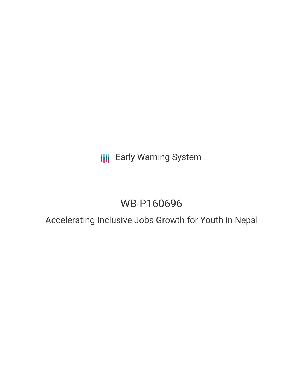# **III** Early Warning System

# WB-P160696

# Accelerating Inclusive Jobs Growth for Youth in Nepal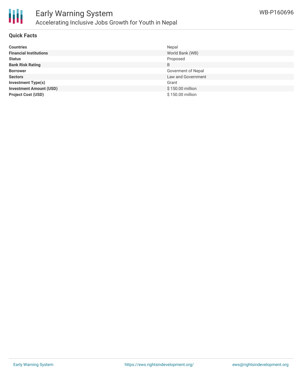

### **Quick Facts**

| <b>Countries</b>               | Nepal              |
|--------------------------------|--------------------|
| <b>Financial Institutions</b>  | World Bank (WB)    |
| <b>Status</b>                  | Proposed           |
| <b>Bank Risk Rating</b>        | B                  |
| <b>Borrower</b>                | Goverment of Nepal |
| <b>Sectors</b>                 | Law and Government |
| <b>Investment Type(s)</b>      | Grant              |
| <b>Investment Amount (USD)</b> | \$150.00 million   |
| <b>Project Cost (USD)</b>      | \$150.00 million   |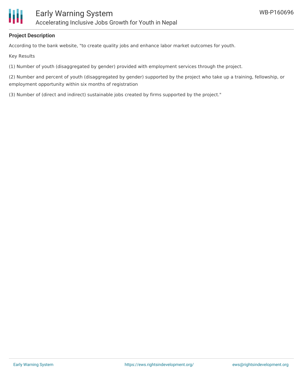

### **Project Description**

According to the bank website, "to create quality jobs and enhance labor market outcomes for youth.

Key Results

(1) Number of youth (disaggregated by gender) provided with employment services through the project.

(2) Number and percent of youth (disaggregated by gender) supported by the project who take up a training, fellowship, or employment opportunity within six months of registration

(3) Number of (direct and indirect) sustainable jobs created by firms supported by the project."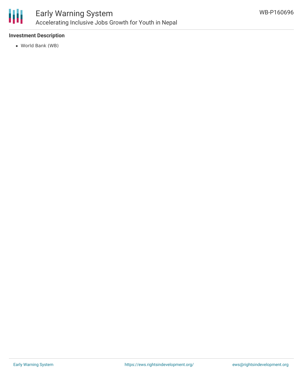

## **Investment Description**

World Bank (WB)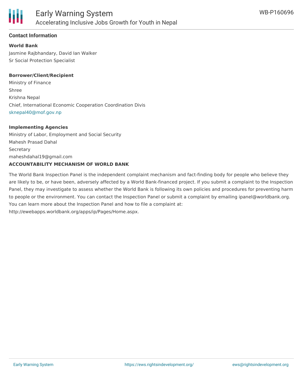

### **Contact Information**

### **World Bank**

Jasmine Rajbhandary, David Ian Walker Sr Social Protection Specialist

#### **Borrower/Client/Recipient**

Ministry of Finance Shree Krishna Nepal Chief, International Economic Cooperation Coordination Divis [sknepal40@mof.gov.np](mailto:sknepal40@mof.gov.np)

#### **Implementing Agencies**

Ministry of Labor, Employment and Social Security Mahesh Prasad Dahal **Secretary** maheshdahal19@gmail.com **ACCOUNTABILITY MECHANISM OF WORLD BANK**

The World Bank Inspection Panel is the independent complaint mechanism and fact-finding body for people who believe they are likely to be, or have been, adversely affected by a World Bank-financed project. If you submit a complaint to the Inspection Panel, they may investigate to assess whether the World Bank is following its own policies and procedures for preventing harm to people or the environment. You can contact the Inspection Panel or submit a complaint by emailing ipanel@worldbank.org. You can learn more about the Inspection Panel and how to file a complaint at: http://ewebapps.worldbank.org/apps/ip/Pages/Home.aspx.